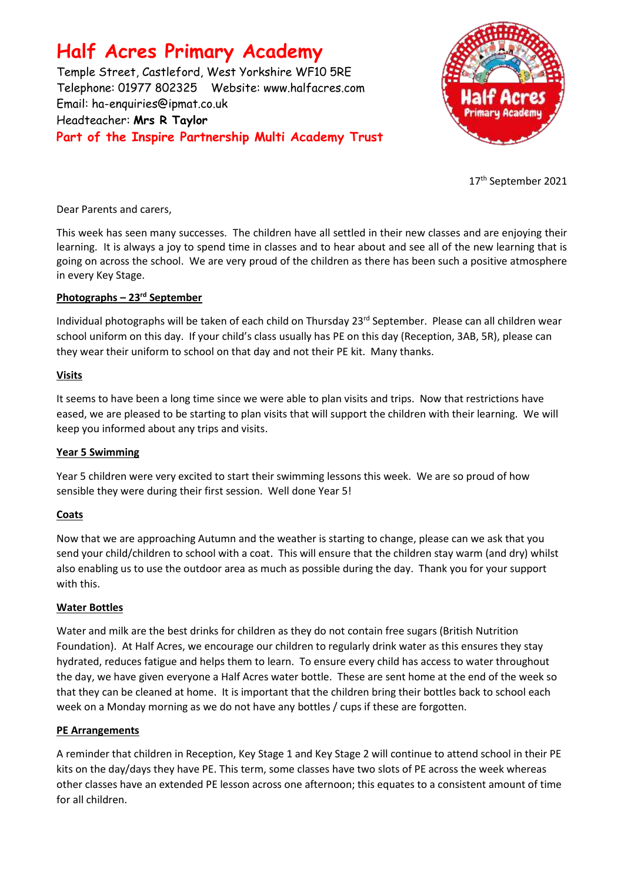# **Half Acres Primary Academy**

Temple Street, Castleford, West Yorkshire WF10 5RE Telephone: 01977 802325 Website: [www.halfacres.com](http://www.halfacres.com/) Email: ha-enquiries@ipmat.co.uk Headteacher: **Mrs R Taylor Part of the Inspire Partnership Multi Academy Trust**



17 th September 2021

Dear Parents and carers,

This week has seen many successes. The children have all settled in their new classes and are enjoying their learning. It is always a joy to spend time in classes and to hear about and see all of the new learning that is going on across the school. We are very proud of the children as there has been such a positive atmosphere in every Key Stage.

## **Photographs – 23rd September**

Individual photographs will be taken of each child on Thursday 23<sup>rd</sup> September. Please can all children wear school uniform on this day. If your child's class usually has PE on this day (Reception, 3AB, 5R), please can they wear their uniform to school on that day and not their PE kit. Many thanks.

## **Visits**

It seems to have been a long time since we were able to plan visits and trips. Now that restrictions have eased, we are pleased to be starting to plan visits that will support the children with their learning. We will keep you informed about any trips and visits.

## **Year 5 Swimming**

Year 5 children were very excited to start their swimming lessons this week. We are so proud of how sensible they were during their first session. Well done Year 5!

## **Coats**

Now that we are approaching Autumn and the weather is starting to change, please can we ask that you send your child/children to school with a coat. This will ensure that the children stay warm (and dry) whilst also enabling us to use the outdoor area as much as possible during the day. Thank you for your support with this.

## **Water Bottles**

Water and milk are the best drinks for children as they do not contain free sugars (British Nutrition Foundation). At Half Acres, we encourage our children to regularly drink water as this ensures they stay hydrated, reduces fatigue and helps them to learn. To ensure every child has access to water throughout the day, we have given everyone a Half Acres water bottle. These are sent home at the end of the week so that they can be cleaned at home. It is important that the children bring their bottles back to school each week on a Monday morning as we do not have any bottles / cups if these are forgotten.

## **PE Arrangements**

A reminder that children in Reception, Key Stage 1 and Key Stage 2 will continue to attend school in their PE kits on the day/days they have PE. This term, some classes have two slots of PE across the week whereas other classes have an extended PE lesson across one afternoon; this equates to a consistent amount of time for all children.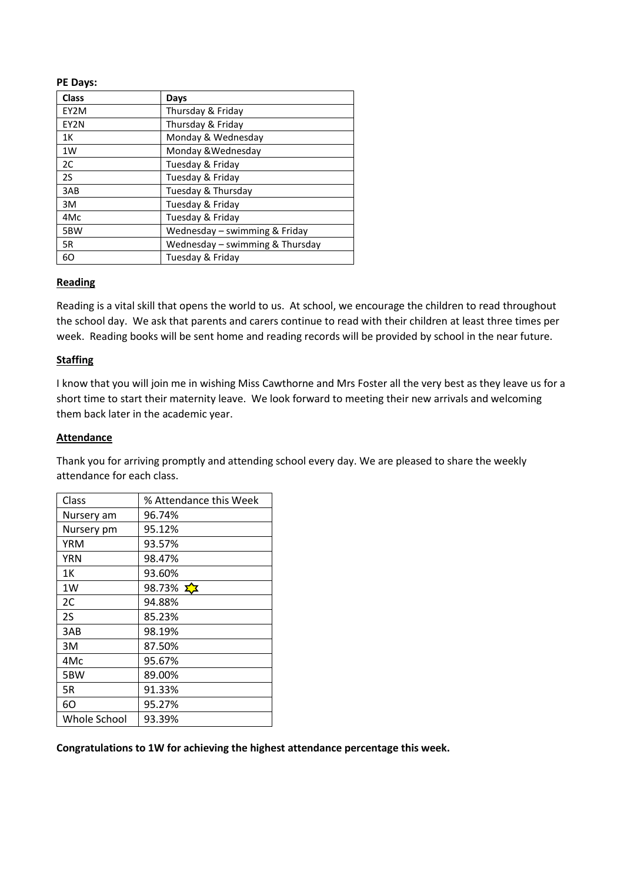#### **PE Days:**

| <b>Class</b> | Days                            |
|--------------|---------------------------------|
| EY2M         | Thursday & Friday               |
| EY2N         | Thursday & Friday               |
| 1K           | Monday & Wednesday              |
| 1W           | Monday & Wednesday              |
| 2C           | Tuesday & Friday                |
| 2S           | Tuesday & Friday                |
| 3AB          | Tuesday & Thursday              |
| 3M           | Tuesday & Friday                |
| 4Mc          | Tuesday & Friday                |
| 5BW          | Wednesday – swimming & Friday   |
| 5R           | Wednesday - swimming & Thursday |
| 60           | Tuesday & Friday                |

#### **Reading**

Reading is a vital skill that opens the world to us. At school, we encourage the children to read throughout the school day. We ask that parents and carers continue to read with their children at least three times per week. Reading books will be sent home and reading records will be provided by school in the near future.

#### **Staffing**

I know that you will join me in wishing Miss Cawthorne and Mrs Foster all the very best as they leave us for a short time to start their maternity leave. We look forward to meeting their new arrivals and welcoming them back later in the academic year.

#### **Attendance**

Thank you for arriving promptly and attending school every day. We are pleased to share the weekly attendance for each class.

| Class        | % Attendance this Week |
|--------------|------------------------|
| Nursery am   | 96.74%                 |
| Nursery pm   | 95.12%                 |
| <b>YRM</b>   | 93.57%                 |
| YRN          | 98.47%                 |
| 1Κ           | 93.60%                 |
| 1W           | 98.73% $\sum X$        |
| 2C           | 94.88%                 |
| 2S           | 85.23%                 |
| 3AB          | 98.19%                 |
| 3M           | 87.50%                 |
| 4Mc          | 95.67%                 |
| 5BW          | 89.00%                 |
| 5R           | 91.33%                 |
| 60           | 95.27%                 |
| Whole School | 93.39%                 |

**Congratulations to 1W for achieving the highest attendance percentage this week.**